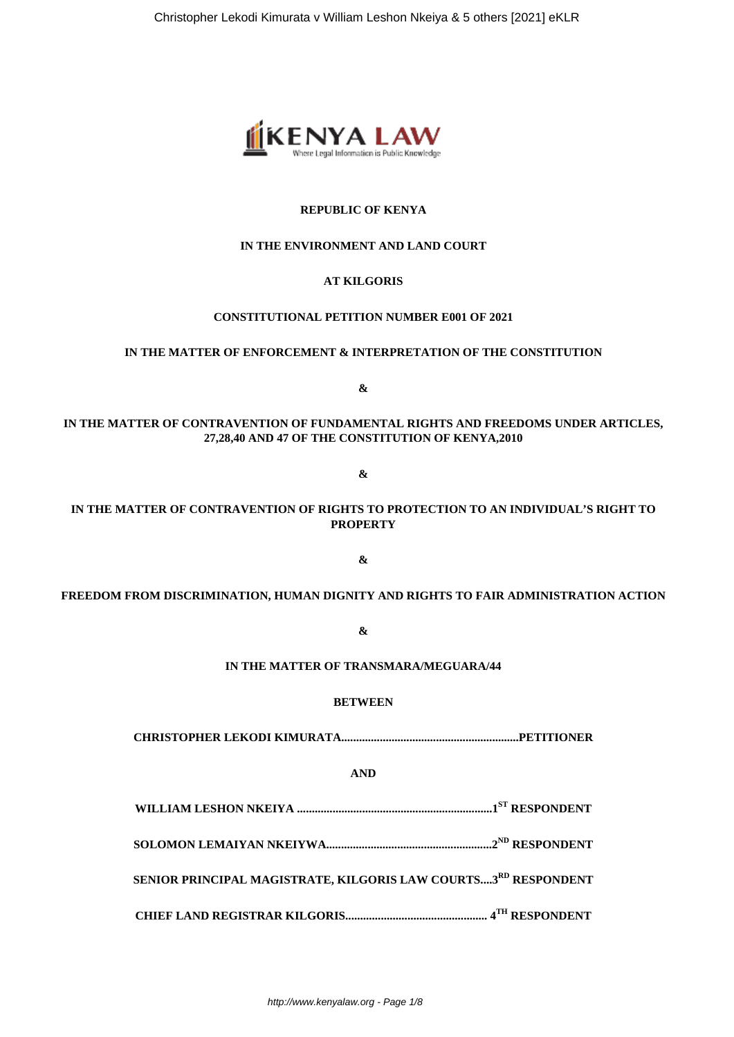

# **REPUBLIC OF KENYA**

# **IN THE ENVIRONMENT AND LAND COURT**

# **AT KILGORIS**

# **CONSTITUTIONAL PETITION NUMBER E001 OF 2021**

#### **IN THE MATTER OF ENFORCEMENT & INTERPRETATION OF THE CONSTITUTION**

**&**

# **IN THE MATTER OF CONTRAVENTION OF FUNDAMENTAL RIGHTS AND FREEDOMS UNDER ARTICLES, 27,28,40 AND 47 OF THE CONSTITUTION OF KENYA,2010**

**&**

# **IN THE MATTER OF CONTRAVENTION OF RIGHTS TO PROTECTION TO AN INDIVIDUAL'S RIGHT TO PROPERTY**

**&**

# **FREEDOM FROM DISCRIMINATION, HUMAN DIGNITY AND RIGHTS TO FAIR ADMINISTRATION ACTION**

**&**

# **IN THE MATTER OF TRANSMARA/MEGUARA/44**

#### **BETWEEN**

**CHRISTOPHER LEKODI KIMURATA............................................................PETITIONER**

# **AND**

**WILLIAM LESHON NKEIYA ..................................................................1ST RESPONDENT**

**SOLOMON LEMAIYAN NKEIYWA........................................................2ND RESPONDENT**

**SENIOR PRINCIPAL MAGISTRATE, KILGORIS LAW COURTS....3RD RESPONDENT**

**CHIEF LAND REGISTRAR KILGORIS................................................ 4TH RESPONDENT**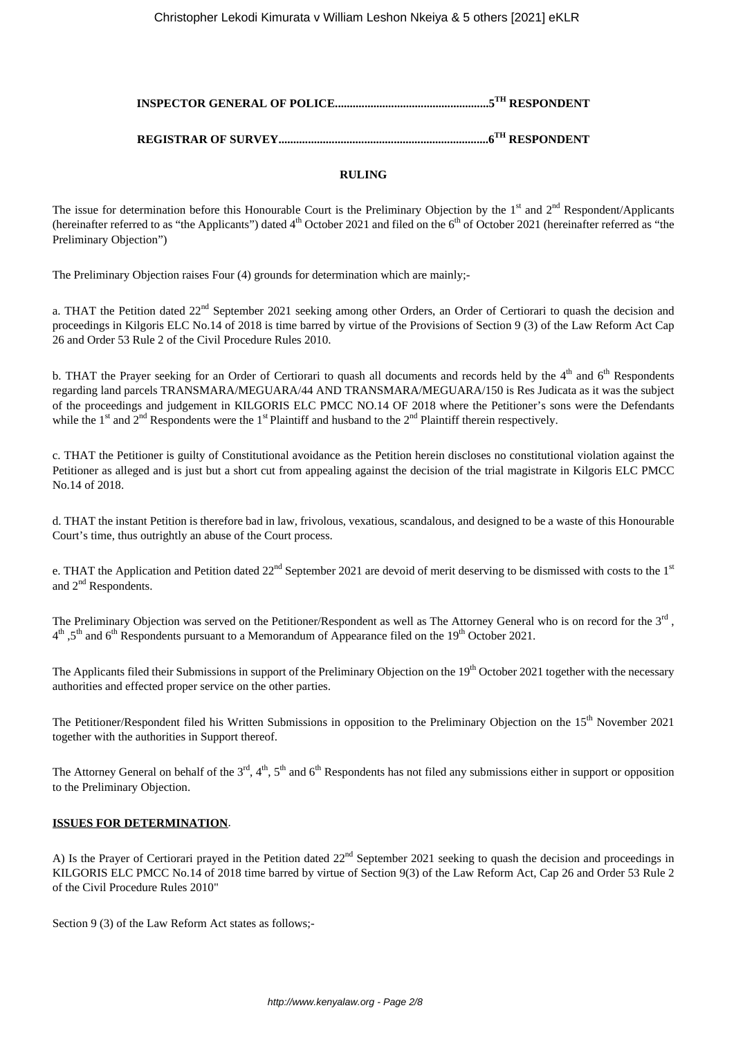# **INSPECTOR GENERAL OF POLICE....................................................5TH RESPONDENT**

# **REGISTRAR OF SURVEY.......................................................................6TH RESPONDENT**

# **RULING**

The issue for determination before this Honourable Court is the Preliminary Objection by the  $1<sup>st</sup>$  and  $2<sup>nd</sup>$  Respondent/Applicants (hereinafter referred to as "the Applicants") dated  $4<sup>th</sup>$  October 2021 and filed on the  $6<sup>th</sup>$  of October 2021 (hereinafter referred as "the Preliminary Objection")

The Preliminary Objection raises Four (4) grounds for determination which are mainly;-

a. THAT the Petition dated 22<sup>nd</sup> September 2021 seeking among other Orders, an Order of Certiorari to quash the decision and proceedings in Kilgoris ELC No.14 of 2018 is time barred by virtue of the Provisions of Section 9 (3) of the Law Reform Act Cap 26 and Order 53 Rule 2 of the Civil Procedure Rules 2010.

b. THAT the Prayer seeking for an Order of Certiorari to quash all documents and records held by the 4<sup>th</sup> and 6<sup>th</sup> Respondents regarding land parcels TRANSMARA/MEGUARA/44 AND TRANSMARA/MEGUARA/150 is Res Judicata as it was the subject of the proceedings and judgement in KILGORIS ELC PMCC NO.14 OF 2018 where the Petitioner's sons were the Defendants while the 1<sup>st</sup> and 2<sup>nd</sup> Respondents were the 1<sup>st</sup> Plaintiff and husband to the 2<sup>nd</sup> Plaintiff therein respectively.

c. THAT the Petitioner is guilty of Constitutional avoidance as the Petition herein discloses no constitutional violation against the Petitioner as alleged and is just but a short cut from appealing against the decision of the trial magistrate in Kilgoris ELC PMCC No.14 of 2018.

d. THAT the instant Petition is therefore bad in law, frivolous, vexatious, scandalous, and designed to be a waste of this Honourable Court's time, thus outrightly an abuse of the Court process.

e. THAT the Application and Petition dated 22<sup>nd</sup> September 2021 are devoid of merit deserving to be dismissed with costs to the 1<sup>st</sup> and 2<sup>nd</sup> Respondents.

The Preliminary Objection was served on the Petitioner/Respondent as well as The Attorney General who is on record for the 3<sup>rd</sup>, 4<sup>th</sup> ,5<sup>th</sup> and 6<sup>th</sup> Respondents pursuant to a Memorandum of Appearance filed on the 19<sup>th</sup> October 2021.

The Applicants filed their Submissions in support of the Preliminary Objection on the 19<sup>th</sup> October 2021 together with the necessary authorities and effected proper service on the other parties.

The Petitioner/Respondent filed his Written Submissions in opposition to the Preliminary Objection on the 15<sup>th</sup> November 2021 together with the authorities in Support thereof.

The Attorney General on behalf of the  $3<sup>rd</sup>$ ,  $4<sup>th</sup>$ ,  $5<sup>th</sup>$  and  $6<sup>th</sup>$  Respondents has not filed any submissions either in support or opposition to the Preliminary Objection.

# **ISSUES FOR DETERMINATION**.

A) Is the Prayer of Certiorari prayed in the Petition dated 22<sup>nd</sup> September 2021 seeking to quash the decision and proceedings in KILGORIS ELC PMCC No.14 of 2018 time barred by virtue of Section 9(3) of the Law Reform Act, Cap 26 and Order 53 Rule 2 of the Civil Procedure Rules 2010"

Section 9 (3) of the Law Reform Act states as follows;-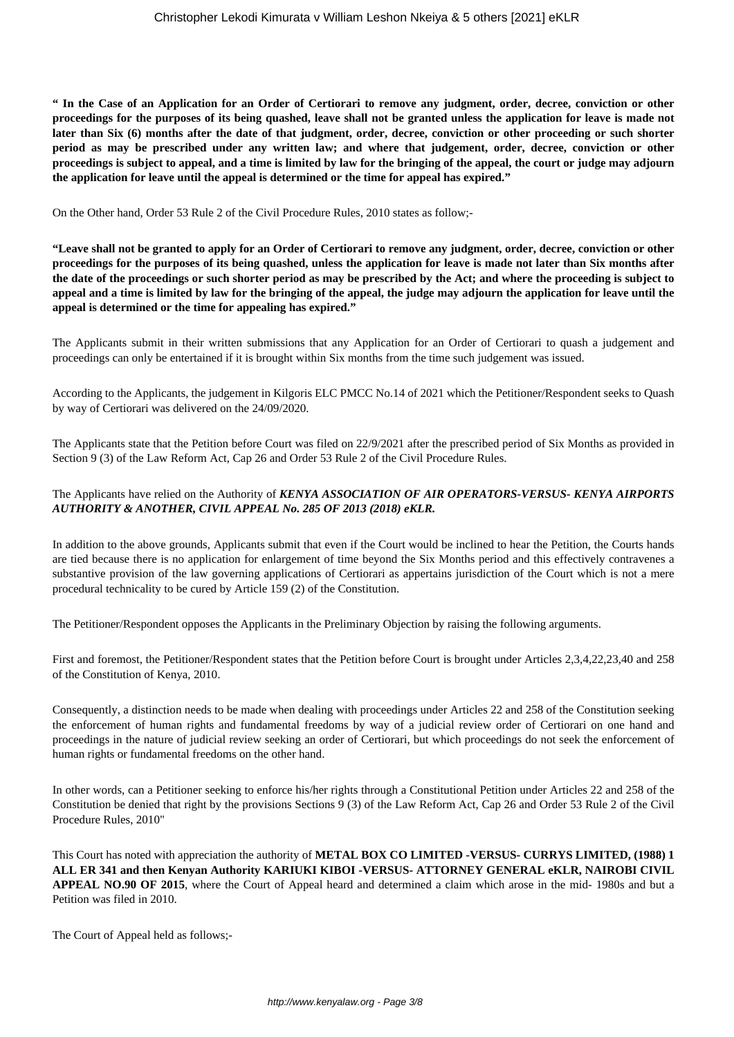**" In the Case of an Application for an Order of Certiorari to remove any judgment, order, decree, conviction or other proceedings for the purposes of its being quashed, leave shall not be granted unless the application for leave is made not later than Six (6) months after the date of that judgment, order, decree, conviction or other proceeding or such shorter period as may be prescribed under any written law; and where that judgement, order, decree, conviction or other proceedings is subject to appeal, and a time is limited by law for the bringing of the appeal, the court or judge may adjourn the application for leave until the appeal is determined or the time for appeal has expired."**

On the Other hand, Order 53 Rule 2 of the Civil Procedure Rules, 2010 states as follow;-

**"Leave shall not be granted to apply for an Order of Certiorari to remove any judgment, order, decree, conviction or other proceedings for the purposes of its being quashed, unless the application for leave is made not later than Six months after the date of the proceedings or such shorter period as may be prescribed by the Act; and where the proceeding is subject to appeal and a time is limited by law for the bringing of the appeal, the judge may adjourn the application for leave until the appeal is determined or the time for appealing has expired."**

The Applicants submit in their written submissions that any Application for an Order of Certiorari to quash a judgement and proceedings can only be entertained if it is brought within Six months from the time such judgement was issued.

According to the Applicants, the judgement in Kilgoris ELC PMCC No.14 of 2021 which the Petitioner/Respondent seeks to Quash by way of Certiorari was delivered on the 24/09/2020.

The Applicants state that the Petition before Court was filed on 22/9/2021 after the prescribed period of Six Months as provided in Section 9 (3) of the Law Reform Act, Cap 26 and Order 53 Rule 2 of the Civil Procedure Rules.

# The Applicants have relied on the Authority of *KENYA ASSOCIATION OF AIR OPERATORS-VERSUS- KENYA AIRPORTS AUTHORITY & ANOTHER, CIVIL APPEAL No. 285 OF 2013 (2018) eKLR.*

In addition to the above grounds, Applicants submit that even if the Court would be inclined to hear the Petition, the Courts hands are tied because there is no application for enlargement of time beyond the Six Months period and this effectively contravenes a substantive provision of the law governing applications of Certiorari as appertains jurisdiction of the Court which is not a mere procedural technicality to be cured by Article 159 (2) of the Constitution.

The Petitioner/Respondent opposes the Applicants in the Preliminary Objection by raising the following arguments.

First and foremost, the Petitioner/Respondent states that the Petition before Court is brought under Articles 2,3,4,22,23,40 and 258 of the Constitution of Kenya, 2010.

Consequently, a distinction needs to be made when dealing with proceedings under Articles 22 and 258 of the Constitution seeking the enforcement of human rights and fundamental freedoms by way of a judicial review order of Certiorari on one hand and proceedings in the nature of judicial review seeking an order of Certiorari, but which proceedings do not seek the enforcement of human rights or fundamental freedoms on the other hand.

In other words, can a Petitioner seeking to enforce his/her rights through a Constitutional Petition under Articles 22 and 258 of the Constitution be denied that right by the provisions Sections 9 (3) of the Law Reform Act, Cap 26 and Order 53 Rule 2 of the Civil Procedure Rules, 2010"

This Court has noted with appreciation the authority of **METAL BOX CO LIMITED -VERSUS- CURRYS LIMITED, (1988) 1 ALL ER 341 and then Kenyan Authority KARIUKI KIBOI -VERSUS- ATTORNEY GENERAL eKLR, NAIROBI CIVIL APPEAL NO.90 OF 2015**, where the Court of Appeal heard and determined a claim which arose in the mid- 1980s and but a Petition was filed in 2010.

The Court of Appeal held as follows;-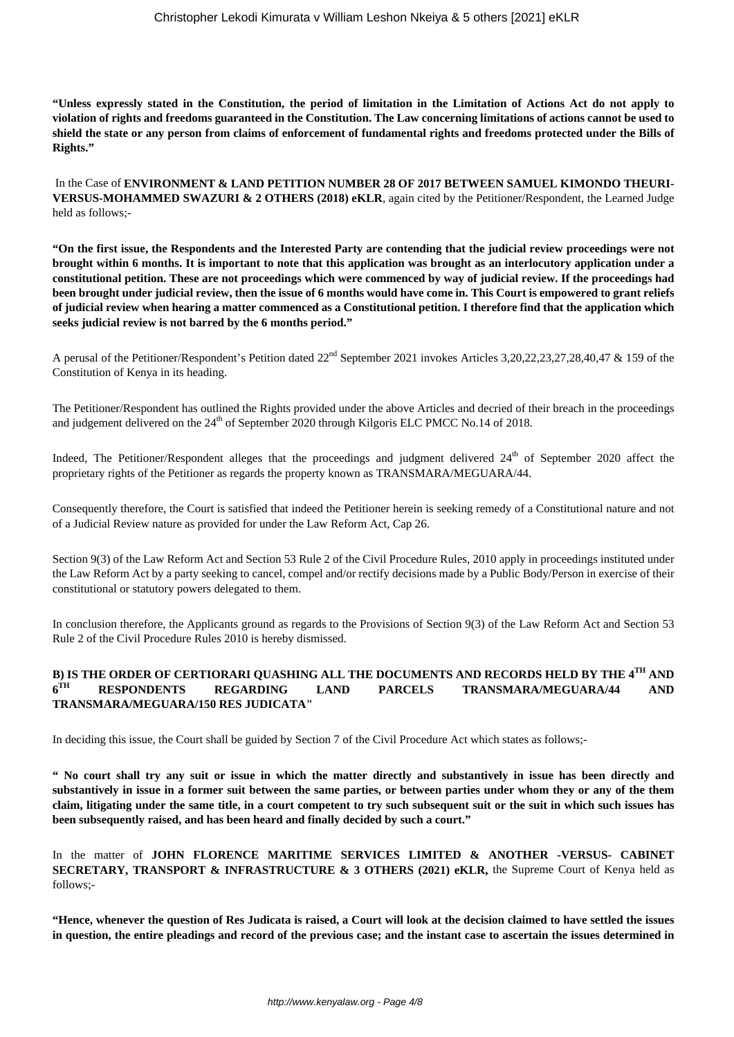**"Unless expressly stated in the Constitution, the period of limitation in the Limitation of Actions Act do not apply to violation of rights and freedoms guaranteed in the Constitution. The Law concerning limitations of actions cannot be used to shield the state or any person from claims of enforcement of fundamental rights and freedoms protected under the Bills of Rights."** 

In the Case of **ENVIRONMENT & LAND PETITION NUMBER 28 OF 2017 BETWEEN SAMUEL KIMONDO THEURI-VERSUS-MOHAMMED SWAZURI & 2 OTHERS (2018) eKLR**, again cited by the Petitioner/Respondent, the Learned Judge held as follows;-

**"On the first issue, the Respondents and the Interested Party are contending that the judicial review proceedings were not brought within 6 months. It is important to note that this application was brought as an interlocutory application under a constitutional petition. These are not proceedings which were commenced by way of judicial review. If the proceedings had been brought under judicial review, then the issue of 6 months would have come in. This Court is empowered to grant reliefs of judicial review when hearing a matter commenced as a Constitutional petition. I therefore find that the application which seeks judicial review is not barred by the 6 months period."**

A perusal of the Petitioner/Respondent's Petition dated  $22<sup>nd</sup>$  September 2021 invokes Articles 3,20,22,23,27,28,40,47 & 159 of the Constitution of Kenya in its heading.

The Petitioner/Respondent has outlined the Rights provided under the above Articles and decried of their breach in the proceedings and judgement delivered on the  $24<sup>th</sup>$  of September 2020 through Kilgoris ELC PMCC No.14 of 2018.

Indeed, The Petitioner/Respondent alleges that the proceedings and judgment delivered 24<sup>th</sup> of September 2020 affect the proprietary rights of the Petitioner as regards the property known as TRANSMARA/MEGUARA/44.

Consequently therefore, the Court is satisfied that indeed the Petitioner herein is seeking remedy of a Constitutional nature and not of a Judicial Review nature as provided for under the Law Reform Act, Cap 26.

Section 9(3) of the Law Reform Act and Section 53 Rule 2 of the Civil Procedure Rules, 2010 apply in proceedings instituted under the Law Reform Act by a party seeking to cancel, compel and/or rectify decisions made by a Public Body/Person in exercise of their constitutional or statutory powers delegated to them.

In conclusion therefore, the Applicants ground as regards to the Provisions of Section 9(3) of the Law Reform Act and Section 53 Rule 2 of the Civil Procedure Rules 2010 is hereby dismissed.

#### **B) IS THE ORDER OF CERTIORARI QUASHING ALL THE DOCUMENTS AND RECORDS HELD BY THE 4TH AND** 6<sup>TH</sup> **TH RESPONDENTS REGARDING LAND PARCELS TRANSMARA/MEGUARA/44 AND TRANSMARA/MEGUARA/150 RES JUDICATA"**

In deciding this issue, the Court shall be guided by Section 7 of the Civil Procedure Act which states as follows;-

**" No court shall try any suit or issue in which the matter directly and substantively in issue has been directly and substantively in issue in a former suit between the same parties, or between parties under whom they or any of the them claim, litigating under the same title, in a court competent to try such subsequent suit or the suit in which such issues has been subsequently raised, and has been heard and finally decided by such a court."**

In the matter of **JOHN FLORENCE MARITIME SERVICES LIMITED & ANOTHER -VERSUS- CABINET SECRETARY, TRANSPORT & INFRASTRUCTURE & 3 OTHERS (2021) eKLR,** the Supreme Court of Kenya held as follows;-

**"Hence, whenever the question of Res Judicata is raised, a Court will look at the decision claimed to have settled the issues in question, the entire pleadings and record of the previous case; and the instant case to ascertain the issues determined in**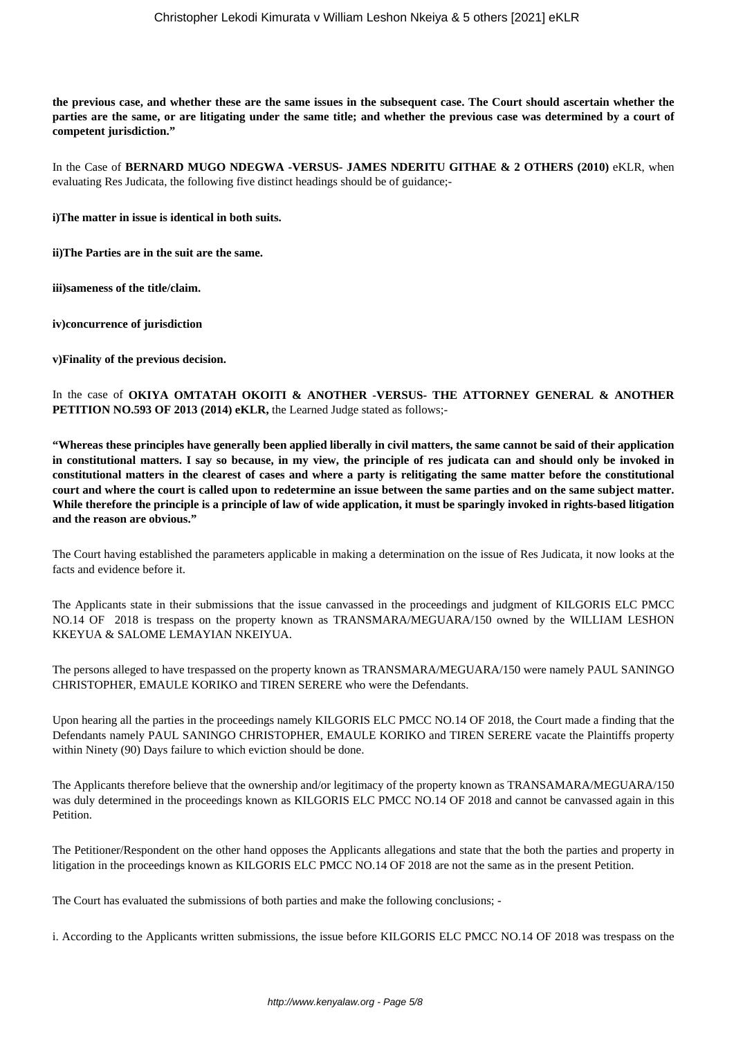**the previous case, and whether these are the same issues in the subsequent case. The Court should ascertain whether the parties are the same, or are litigating under the same title; and whether the previous case was determined by a court of competent jurisdiction."**

In the Case of **BERNARD MUGO NDEGWA -VERSUS- JAMES NDERITU GITHAE & 2 OTHERS (2010)** eKLR, when evaluating Res Judicata, the following five distinct headings should be of guidance;-

**i)The matter in issue is identical in both suits.**

**ii)The Parties are in the suit are the same.**

**iii)sameness of the title/claim.**

**iv)concurrence of jurisdiction**

**v)Finality of the previous decision.** 

In the case of **OKIYA OMTATAH OKOITI & ANOTHER -VERSUS- THE ATTORNEY GENERAL & ANOTHER PETITION NO.593 OF 2013 (2014) eKLR,** the Learned Judge stated as follows;-

**"Whereas these principles have generally been applied liberally in civil matters, the same cannot be said of their application in constitutional matters. I say so because, in my view, the principle of res judicata can and should only be invoked in constitutional matters in the clearest of cases and where a party is relitigating the same matter before the constitutional court and where the court is called upon to redetermine an issue between the same parties and on the same subject matter. While therefore the principle is a principle of law of wide application, it must be sparingly invoked in rights-based litigation and the reason are obvious."**

The Court having established the parameters applicable in making a determination on the issue of Res Judicata, it now looks at the facts and evidence before it.

The Applicants state in their submissions that the issue canvassed in the proceedings and judgment of KILGORIS ELC PMCC NO.14 OF 2018 is trespass on the property known as TRANSMARA/MEGUARA/150 owned by the WILLIAM LESHON KKEYUA & SALOME LEMAYIAN NKEIYUA.

The persons alleged to have trespassed on the property known as TRANSMARA/MEGUARA/150 were namely PAUL SANINGO CHRISTOPHER, EMAULE KORIKO and TIREN SERERE who were the Defendants.

Upon hearing all the parties in the proceedings namely KILGORIS ELC PMCC NO.14 OF 2018, the Court made a finding that the Defendants namely PAUL SANINGO CHRISTOPHER, EMAULE KORIKO and TIREN SERERE vacate the Plaintiffs property within Ninety (90) Days failure to which eviction should be done.

The Applicants therefore believe that the ownership and/or legitimacy of the property known as TRANSAMARA/MEGUARA/150 was duly determined in the proceedings known as KILGORIS ELC PMCC NO.14 OF 2018 and cannot be canvassed again in this Petition.

The Petitioner/Respondent on the other hand opposes the Applicants allegations and state that the both the parties and property in litigation in the proceedings known as KILGORIS ELC PMCC NO.14 OF 2018 are not the same as in the present Petition.

The Court has evaluated the submissions of both parties and make the following conclusions; -

i. According to the Applicants written submissions, the issue before KILGORIS ELC PMCC NO.14 OF 2018 was trespass on the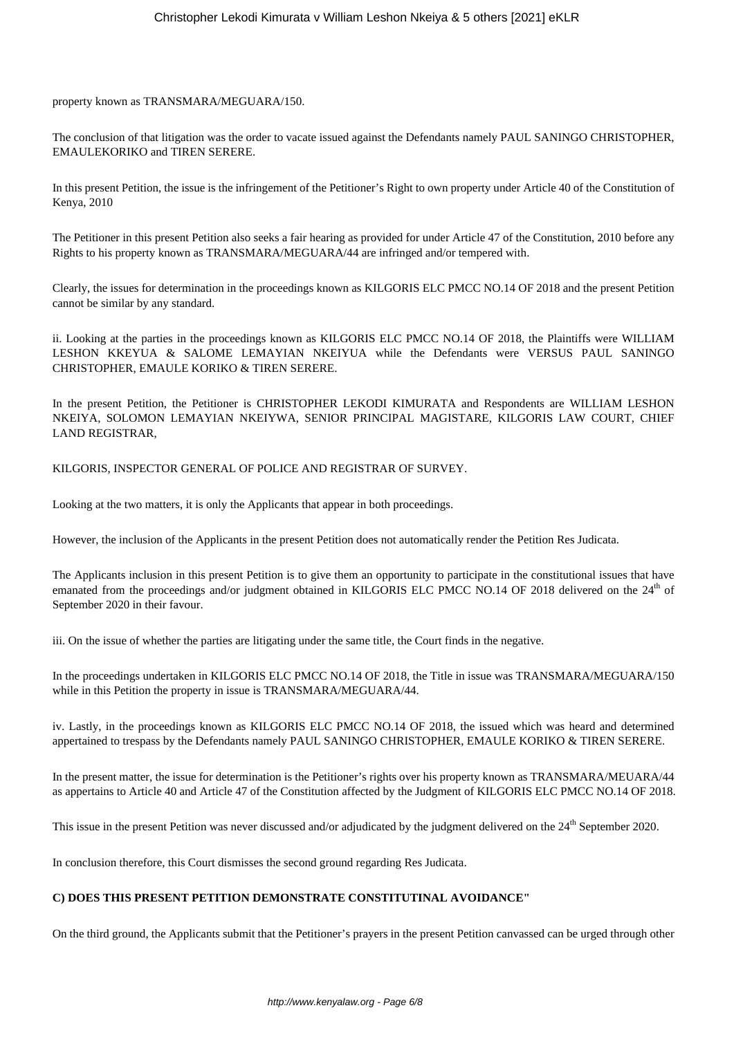property known as TRANSMARA/MEGUARA/150.

The conclusion of that litigation was the order to vacate issued against the Defendants namely PAUL SANINGO CHRISTOPHER, EMAULEKORIKO and TIREN SERERE.

In this present Petition, the issue is the infringement of the Petitioner's Right to own property under Article 40 of the Constitution of Kenya, 2010

The Petitioner in this present Petition also seeks a fair hearing as provided for under Article 47 of the Constitution, 2010 before any Rights to his property known as TRANSMARA/MEGUARA/44 are infringed and/or tempered with.

Clearly, the issues for determination in the proceedings known as KILGORIS ELC PMCC NO.14 OF 2018 and the present Petition cannot be similar by any standard.

ii. Looking at the parties in the proceedings known as KILGORIS ELC PMCC NO.14 OF 2018, the Plaintiffs were WILLIAM LESHON KKEYUA & SALOME LEMAYIAN NKEIYUA while the Defendants were VERSUS PAUL SANINGO CHRISTOPHER, EMAULE KORIKO & TIREN SERERE.

In the present Petition, the Petitioner is CHRISTOPHER LEKODI KIMURATA and Respondents are WILLIAM LESHON NKEIYA, SOLOMON LEMAYIAN NKEIYWA, SENIOR PRINCIPAL MAGISTARE, KILGORIS LAW COURT, CHIEF LAND REGISTRAR,

KILGORIS, INSPECTOR GENERAL OF POLICE AND REGISTRAR OF SURVEY.

Looking at the two matters, it is only the Applicants that appear in both proceedings.

However, the inclusion of the Applicants in the present Petition does not automatically render the Petition Res Judicata.

The Applicants inclusion in this present Petition is to give them an opportunity to participate in the constitutional issues that have emanated from the proceedings and/or judgment obtained in KILGORIS ELC PMCC NO.14 OF 2018 delivered on the 24<sup>th</sup> of September 2020 in their favour.

iii. On the issue of whether the parties are litigating under the same title, the Court finds in the negative.

In the proceedings undertaken in KILGORIS ELC PMCC NO.14 OF 2018, the Title in issue was TRANSMARA/MEGUARA/150 while in this Petition the property in issue is TRANSMARA/MEGUARA/44.

iv. Lastly, in the proceedings known as KILGORIS ELC PMCC NO.14 OF 2018, the issued which was heard and determined appertained to trespass by the Defendants namely PAUL SANINGO CHRISTOPHER, EMAULE KORIKO & TIREN SERERE.

In the present matter, the issue for determination is the Petitioner's rights over his property known as TRANSMARA/MEUARA/44 as appertains to Article 40 and Article 47 of the Constitution affected by the Judgment of KILGORIS ELC PMCC NO.14 OF 2018.

This issue in the present Petition was never discussed and/or adjudicated by the judgment delivered on the  $24<sup>th</sup>$  September 2020.

In conclusion therefore, this Court dismisses the second ground regarding Res Judicata.

# **C) DOES THIS PRESENT PETITION DEMONSTRATE CONSTITUTINAL AVOIDANCE"**

On the third ground, the Applicants submit that the Petitioner's prayers in the present Petition canvassed can be urged through other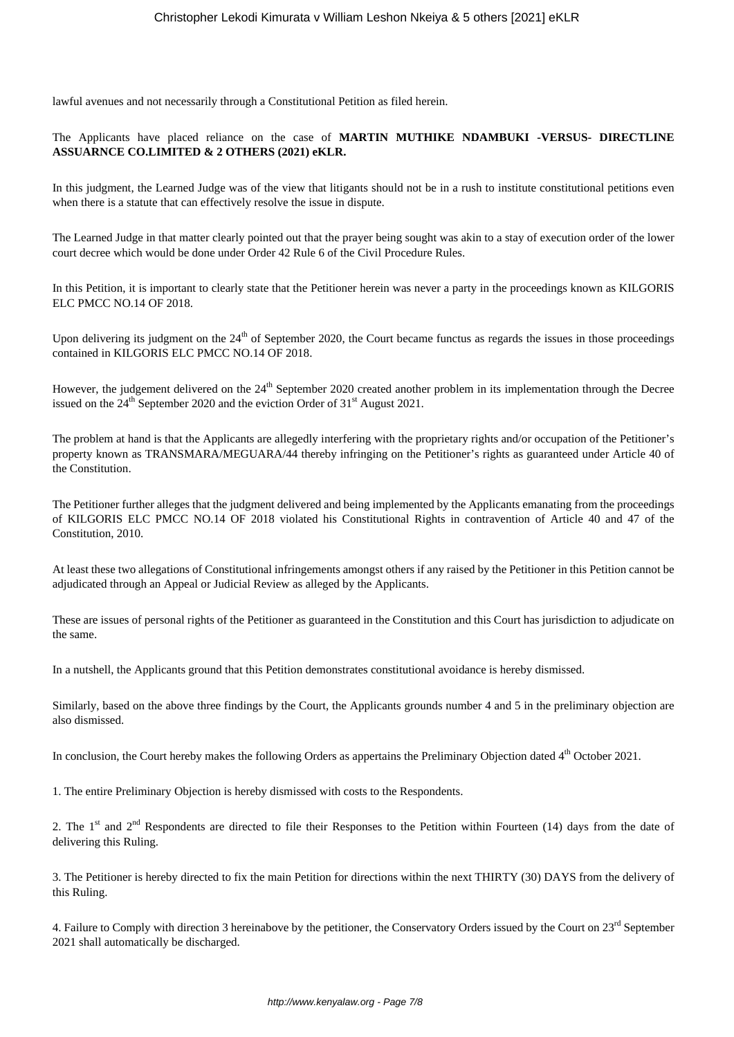lawful avenues and not necessarily through a Constitutional Petition as filed herein.

# The Applicants have placed reliance on the case of **MARTIN MUTHIKE NDAMBUKI -VERSUS- DIRECTLINE ASSUARNCE CO.LIMITED & 2 OTHERS (2021) eKLR.**

In this judgment, the Learned Judge was of the view that litigants should not be in a rush to institute constitutional petitions even when there is a statute that can effectively resolve the issue in dispute.

The Learned Judge in that matter clearly pointed out that the prayer being sought was akin to a stay of execution order of the lower court decree which would be done under Order 42 Rule 6 of the Civil Procedure Rules.

In this Petition, it is important to clearly state that the Petitioner herein was never a party in the proceedings known as KILGORIS ELC PMCC NO.14 OF 2018.

Upon delivering its judgment on the 24<sup>th</sup> of September 2020, the Court became functus as regards the issues in those proceedings contained in KILGORIS ELC PMCC NO.14 OF 2018.

However, the judgement delivered on the 24<sup>th</sup> September 2020 created another problem in its implementation through the Decree issued on the  $24^{th}$  September 2020 and the eviction Order of  $31^{st}$  August 2021.

The problem at hand is that the Applicants are allegedly interfering with the proprietary rights and/or occupation of the Petitioner's property known as TRANSMARA/MEGUARA/44 thereby infringing on the Petitioner's rights as guaranteed under Article 40 of the Constitution.

The Petitioner further alleges that the judgment delivered and being implemented by the Applicants emanating from the proceedings of KILGORIS ELC PMCC NO.14 OF 2018 violated his Constitutional Rights in contravention of Article 40 and 47 of the Constitution, 2010.

At least these two allegations of Constitutional infringements amongst others if any raised by the Petitioner in this Petition cannot be adjudicated through an Appeal or Judicial Review as alleged by the Applicants.

These are issues of personal rights of the Petitioner as guaranteed in the Constitution and this Court has jurisdiction to adjudicate on the same.

In a nutshell, the Applicants ground that this Petition demonstrates constitutional avoidance is hereby dismissed.

Similarly, based on the above three findings by the Court, the Applicants grounds number 4 and 5 in the preliminary objection are also dismissed.

In conclusion, the Court hereby makes the following Orders as appertains the Preliminary Objection dated 4<sup>th</sup> October 2021.

1. The entire Preliminary Objection is hereby dismissed with costs to the Respondents.

2. The 1<sup>st</sup> and  $2<sup>nd</sup>$  Respondents are directed to file their Responses to the Petition within Fourteen (14) days from the date of delivering this Ruling.

3. The Petitioner is hereby directed to fix the main Petition for directions within the next THIRTY (30) DAYS from the delivery of this Ruling.

4. Failure to Comply with direction 3 hereinabove by the petitioner, the Conservatory Orders issued by the Court on 23<sup>rd</sup> September 2021 shall automatically be discharged.